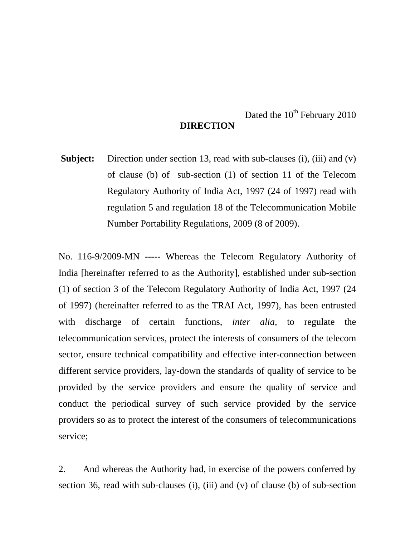## Dated the  $10^{th}$  February 2010 **DIRECTION**

**Subject:** Direction under section 13, read with sub-clauses (i), (iii) and (v) of clause (b) of sub-section (1) of section 11 of the Telecom Regulatory Authority of India Act, 1997 (24 of 1997) read with regulation 5 and regulation 18 of the Telecommunication Mobile Number Portability Regulations, 2009 (8 of 2009).

No. 116-9/2009-MN ----- Whereas the Telecom Regulatory Authority of India [hereinafter referred to as the Authority], established under sub-section (1) of section 3 of the Telecom Regulatory Authority of India Act, 1997 (24 of 1997) (hereinafter referred to as the TRAI Act, 1997), has been entrusted with discharge of certain functions, *inter alia,* to regulate the telecommunication services, protect the interests of consumers of the telecom sector, ensure technical compatibility and effective inter-connection between different service providers, lay-down the standards of quality of service to be provided by the service providers and ensure the quality of service and conduct the periodical survey of such service provided by the service providers so as to protect the interest of the consumers of telecommunications service;

2. And whereas the Authority had, in exercise of the powers conferred by section 36, read with sub-clauses (i), (iii) and (v) of clause (b) of sub-section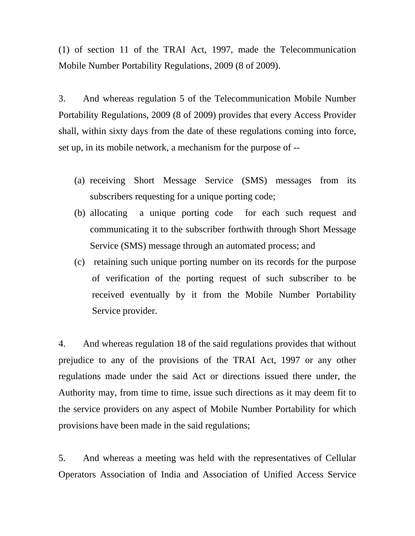(1) of section 11 of the TRAI Act, 1997, made the Telecommunication Mobile Number Portability Regulations, 2009 (8 of 2009).

3. And whereas regulation 5 of the Telecommunication Mobile Number Portability Regulations, 2009 (8 of 2009) provides that every Access Provider shall, within sixty days from the date of these regulations coming into force, set up, in its mobile network, a mechanism for the purpose of --

- (a) receiving Short Message Service (SMS) messages from its subscribers requesting for a unique porting code;
- (b) allocating a unique porting code for each such request and communicating it to the subscriber forthwith through Short Message Service (SMS) message through an automated process; and
- (c) retaining such unique porting number on its records for the purpose of verification of the porting request of such subscriber to be received eventually by it from the Mobile Number Portability Service provider.

4. And whereas regulation 18 of the said regulations provides that without prejudice to any of the provisions of the TRAI Act, 1997 or any other regulations made under the said Act or directions issued there under, the Authority may, from time to time, issue such directions as it may deem fit to the service providers on any aspect of Mobile Number Portability for which provisions have been made in the said regulations;

5. And whereas a meeting was held with the representatives of Cellular Operators Association of India and Association of Unified Access Service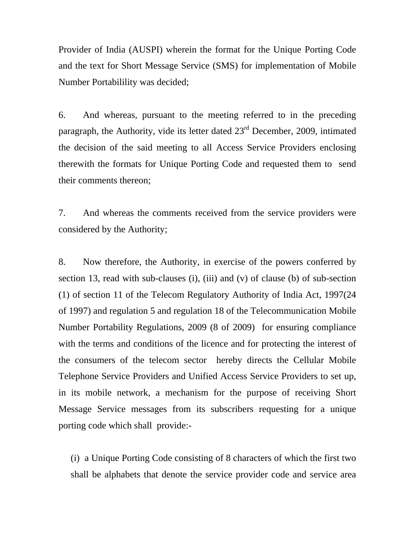Provider of India (AUSPI) wherein the format for the Unique Porting Code and the text for Short Message Service (SMS) for implementation of Mobile Number Portabilility was decided;

6. And whereas, pursuant to the meeting referred to in the preceding paragraph, the Authority, vide its letter dated  $23<sup>rd</sup>$  December, 2009, intimated the decision of the said meeting to all Access Service Providers enclosing therewith the formats for Unique Porting Code and requested them to send their comments thereon;

7. And whereas the comments received from the service providers were considered by the Authority;

8. Now therefore, the Authority, in exercise of the powers conferred by section 13, read with sub-clauses (i), (iii) and (v) of clause (b) of sub-section (1) of section 11 of the Telecom Regulatory Authority of India Act, 1997(24 of 1997) and regulation 5 and regulation 18 of the Telecommunication Mobile Number Portability Regulations, 2009 (8 of 2009) for ensuring compliance with the terms and conditions of the licence and for protecting the interest of the consumers of the telecom sector hereby directs the Cellular Mobile Telephone Service Providers and Unified Access Service Providers to set up, in its mobile network, a mechanism for the purpose of receiving Short Message Service messages from its subscribers requesting for a unique porting code which shall provide:-

(i) a Unique Porting Code consisting of 8 characters of which the first two shall be alphabets that denote the service provider code and service area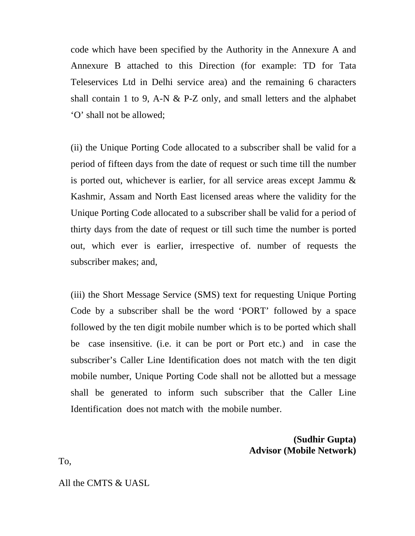code which have been specified by the Authority in the Annexure A and Annexure B attached to this Direction (for example: TD for Tata Teleservices Ltd in Delhi service area) and the remaining 6 characters shall contain 1 to 9, A-N & P-Z only, and small letters and the alphabet 'O' shall not be allowed;

(ii) the Unique Porting Code allocated to a subscriber shall be valid for a period of fifteen days from the date of request or such time till the number is ported out, whichever is earlier, for all service areas except Jammu & Kashmir, Assam and North East licensed areas where the validity for the Unique Porting Code allocated to a subscriber shall be valid for a period of thirty days from the date of request or till such time the number is ported out, which ever is earlier, irrespective of. number of requests the subscriber makes; and,

(iii) the Short Message Service (SMS) text for requesting Unique Porting Code by a subscriber shall be the word 'PORT' followed by a space followed by the ten digit mobile number which is to be ported which shall be case insensitive. (i.e. it can be port or Port etc.) and in case the subscriber's Caller Line Identification does not match with the ten digit mobile number, Unique Porting Code shall not be allotted but a message shall be generated to inform such subscriber that the Caller Line Identification does not match with the mobile number.

## **(Sudhir Gupta) Advisor (Mobile Network)**

To,

All the CMTS & UASL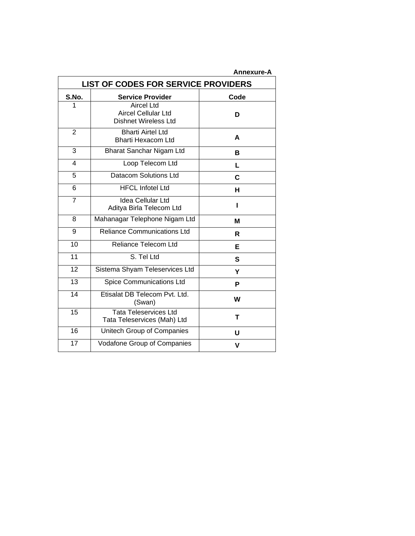|                                            |                                                                                | <b>Annexure-A</b> |  |
|--------------------------------------------|--------------------------------------------------------------------------------|-------------------|--|
| <b>LIST OF CODES FOR SERVICE PROVIDERS</b> |                                                                                |                   |  |
| S.No.                                      | <b>Service Provider</b>                                                        | Code              |  |
| 1                                          | <b>Aircel Ltd</b><br><b>Aircel Cellular Ltd</b><br><b>Dishnet Wireless Ltd</b> | D                 |  |
| $\overline{2}$                             | <b>Bharti Airtel Ltd</b><br><b>Bharti Hexacom Ltd</b>                          | A                 |  |
| 3                                          | Bharat Sanchar Nigam Ltd                                                       | B                 |  |
| 4                                          | Loop Telecom Ltd                                                               | L                 |  |
| 5                                          | <b>Datacom Solutions Ltd</b>                                                   | C                 |  |
| 6                                          | <b>HFCL Infotel Ltd</b>                                                        | н                 |  |
| $\overline{7}$                             | <b>Idea Cellular Ltd</b><br>Aditya Birla Telecom Ltd                           | ı                 |  |
| 8                                          | Mahanagar Telephone Nigam Ltd                                                  | М                 |  |
| 9                                          | <b>Reliance Communications Ltd</b>                                             | R                 |  |
| 10                                         | <b>Reliance Telecom Ltd</b>                                                    | Е                 |  |
| $\overline{11}$                            | S. Tel Ltd                                                                     | S                 |  |
| 12                                         | Sistema Shyam Teleservices Ltd                                                 | Y                 |  |
| 13                                         | <b>Spice Communications Ltd</b>                                                | P                 |  |
| $\overline{14}$                            | Etisalat DB Telecom Pvt. Ltd.<br>(Swan)                                        | W                 |  |
| 15                                         | <b>Tata Teleservices Ltd</b><br>Tata Teleservices (Mah) Ltd                    | T                 |  |
| 16                                         | Unitech Group of Companies                                                     | U                 |  |
| 17                                         | Vodafone Group of Companies                                                    | v                 |  |